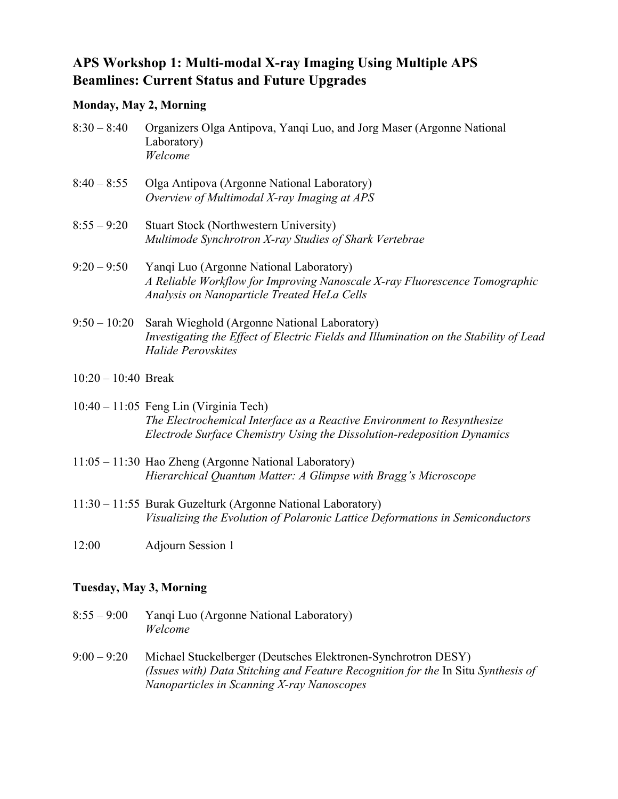## **APS Workshop 1: Multi-modal X-ray Imaging Using Multiple APS Beamlines: Current Status and Future Upgrades**

## **Monday, May 2, Morning**

| $8:30 - 8:40$  | Organizers Olga Antipova, Yanqi Luo, and Jorg Maser (Argonne National<br>Laboratory)<br>Welcome                                                                      |
|----------------|----------------------------------------------------------------------------------------------------------------------------------------------------------------------|
| $8:40 - 8:55$  | Olga Antipova (Argonne National Laboratory)<br>Overview of Multimodal X-ray Imaging at APS                                                                           |
| $8:55 - 9:20$  | <b>Stuart Stock (Northwestern University)</b><br>Multimode Synchrotron X-ray Studies of Shark Vertebrae                                                              |
| $9:20 - 9:50$  | Yanqi Luo (Argonne National Laboratory)<br>A Reliable Workflow for Improving Nanoscale X-ray Fluorescence Tomographic<br>Analysis on Nanoparticle Treated HeLa Cells |
| $9:50 - 10:20$ | Sarah Wieghold (Argonne National Laboratory)<br>Investigating the Effect of Electric Fields and Illumination on the Stability of Lead<br>Halide Perovskites          |
|                |                                                                                                                                                                      |

10:20 – 10:40 Break

10:40 – 11:05 Feng Lin (Virginia Tech) *The Electrochemical Interface as a Reactive Environment to Resynthesize Electrode Surface Chemistry Using the Dissolution-redeposition Dynamics*

- 11:05 11:30 Hao Zheng (Argonne National Laboratory) *Hierarchical Quantum Matter: A Glimpse with Bragg's Microscope*
- 11:30 11:55 Burak Guzelturk (Argonne National Laboratory) *Visualizing the Evolution of Polaronic Lattice Deformations in Semiconductors*
- 12:00 Adjourn Session 1

## **Tuesday, May 3, Morning**

- 8:55 9:00 Yanqi Luo (Argonne National Laboratory) *Welcome*
- 9:00 9:20 Michael Stuckelberger (Deutsches Elektronen-Synchrotron DESY) *(Issues with) Data Stitching and Feature Recognition for the In Situ Synthesis of Nanoparticles in Scanning X-ray Nanoscopes*